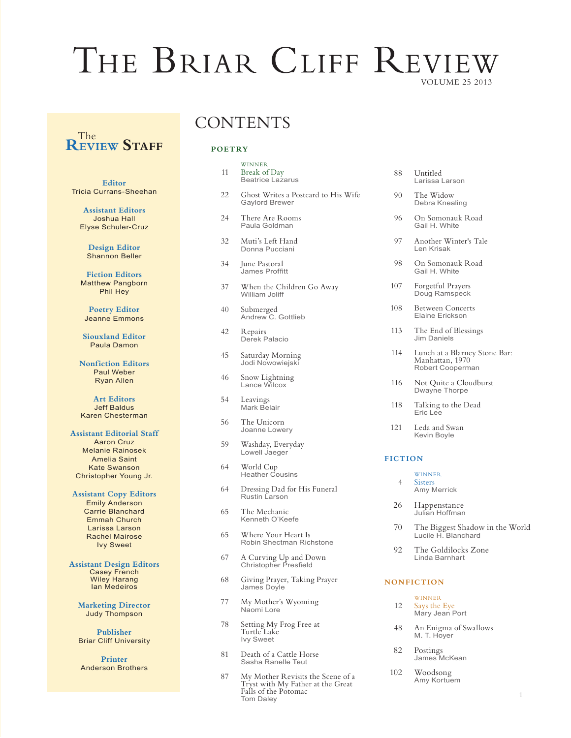# THE BRIAR CLIFF REVIEW VOLUME 25 2013

# **REVIEW Staff** The

**Editor** Tricia Currans-Sheehan

**Assistant Editors** Joshua Hall Elyse Schuler-Cruz

> **Design Editor** Shannon Beller

**Fiction Editors** Matthew Pangborn Phil Hey

**Poetry Editor** Jeanne Emmons

**Siouxland Editor** Paula Damon

**Nonfiction Editors** Paul Weber Ryan Allen

**Art Editors** Jeff Baldus Karen Chesterman

#### **Assistant Editorial Staff**

Aaron Cruz Melanie Rainosek Amelia Saint Kate Swanson Christopher Young Jr.

#### **Assistant Copy Editors**

Emily Anderson Carrie Blanchard Emmah Church Larissa Larson Rachel Mairose Ivy Sweet

**Assistant Design Editors** Casey French Wiley Harang Ian Medeiros

**Marketing Director** Judy Thompson

**Publisher** Briar Cliff University

**Printer** Anderson Brothers

# **CONTENTS**

# **POETRY**

| 11 | <b>WINNER</b><br>Break of Day<br><b>Beatrice Lazarus</b>     |
|----|--------------------------------------------------------------|
| 22 | Ghost Writes a Postcard to His Wife<br><b>Gaylord Brewer</b> |
| 24 | There Are Rooms<br>Paula Goldman                             |
| 32 | Muti's Left Hand<br>Donna Pucciani                           |
| 34 | June Pastoral<br>James Proffitt                              |
| 37 | When the Children Go Away<br>William Joliff                  |
| 40 | Submerged<br>Andrew C. Gottlieb                              |
| 42 | Repairs<br>Derek Palacio                                     |
| 45 | Saturday Morning<br>Jodi Nowowiejski                         |
| 46 | Snow Lightning<br>Lance Wilcox                               |
| 54 | Leavings<br>Mark Belair                                      |
| 56 | The Unicorn<br>Joanne Lowery                                 |
|    |                                                              |

- 59 Washday, Everyday Lowell Jaeger
- 64 World Cup Heather Cousins
- 64 Dressing Dad for His Funeral Rustin Larson
- 65 The Mechanic Kenneth O'Keefe
- 65 Where Your Heart Is Robin Shectman Richstone
- 67 A Curving Up and Down Christopher Presfield
- 68 Giving Prayer, Taking Prayer James Doyle
- 77 My Mother's Wyoming Naomi Lore
- 78 Setting My Frog Free at Turtle Lake Ivy Sweet
- 81 Death of a Cattle Horse Sasha Ranelle Teut
- 87 My Mother Revisits the Scene of a<br>Tryst with My Father at the Great Falls of the Potomac Tom Daley

| 88 | Untitled       |
|----|----------------|
|    | Larissa Larson |

- 90 The Widow Debra Knealing
- 96 On Somonauk Road Gail H. White
- 97 Another Winter's Tale Len Krisak
- 98 On Somonauk Road Gail H. White
- 107 Forgetful Prayers<br>Doug Ramspeck
- 108 Between Concerts Elaine Erickson
- 113 The End of Blessings Jim Daniels
- 114 Lunch at a Blarney Stone Bar: Manhattan, 1970 Robert Cooperman
- 116 Not Quite a Cloudburst Dwayne Thorpe
- 118 Talking to the Dead Eric Lee
- 121 Leda and Swan Kevin Boyle

#### **FICTION**

- **WINNER** 4 Sisters Amy Merrick
- 26 Happenstance Julian Hoffman
- 70 The Biggest Shadow in the World Lucile H. Blanchard
- 92 The Goldilocks Zone Linda Barnhart

#### **NONFICTION**

- **WINNER** 12 Says the Eye Mary Jean Port
- 48 An Enigma of Swallows M. T. Hoyer
- 82 Postings James McKean
- 102 Woodsong Amy Kortuem